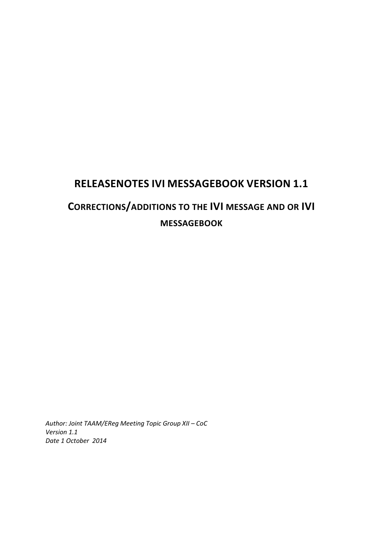# **RELEASENOTES IVI MESSAGEBOOK VERSION 1.1 CORRECTIONS/ADDITIONS TO THE IVI MESSAGE AND OR IVI MESSAGEBOOK**

*Author: Joint TAAM/EReg Meeting Topic Group XII – CoC Version 1.1 Date 1 October 2014*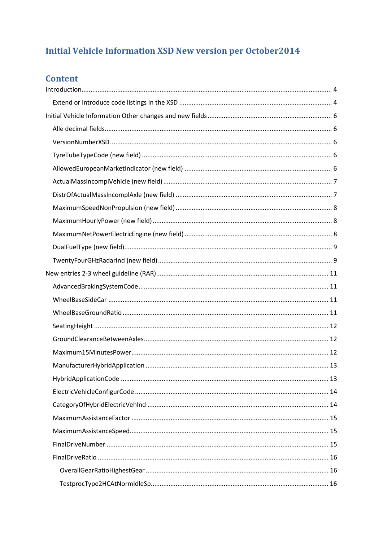## **Initial Vehicle Information XSD New version per October2014**

### **Content**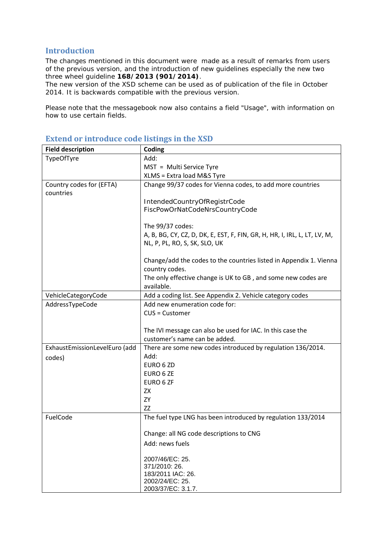#### <span id="page-3-0"></span>**Introduction**

The changes mentioned in this document were made as a result of remarks from users of the previous version, and the introduction of new guidelines especially the new two three wheel guideline **168/2013 (901/2014)**.

The new version of the XSD scheme can be used as of publication of the file in October 2014. It is backwards compatible with the previous version.

Please note that the messagebook now also contains a field "Usage", with information on how to use certain fields.

| Change 99/37 codes for Vienna codes, to add more countries                |
|---------------------------------------------------------------------------|
|                                                                           |
|                                                                           |
|                                                                           |
|                                                                           |
|                                                                           |
| A, B, BG, CY, CZ, D, DK, E, EST, F, FIN, GR, H, HR, I, IRL, L, LT, LV, M, |
|                                                                           |
| Change/add the codes to the countries listed in Appendix 1. Vienna        |
|                                                                           |
| The only effective change is UK to GB, and some new codes are             |
|                                                                           |
| Add a coding list. See Appendix 2. Vehicle category codes                 |
|                                                                           |
|                                                                           |
|                                                                           |
| The IVI message can also be used for IAC. In this case the                |
|                                                                           |
| There are some new codes introduced by regulation 136/2014.               |
|                                                                           |
|                                                                           |
|                                                                           |
|                                                                           |
|                                                                           |
|                                                                           |
|                                                                           |
| The fuel type LNG has been introduced by regulation 133/2014              |
|                                                                           |
|                                                                           |
|                                                                           |
|                                                                           |
|                                                                           |
|                                                                           |
|                                                                           |
|                                                                           |

#### <span id="page-3-1"></span>**Extend or introduce code listings in the XSD**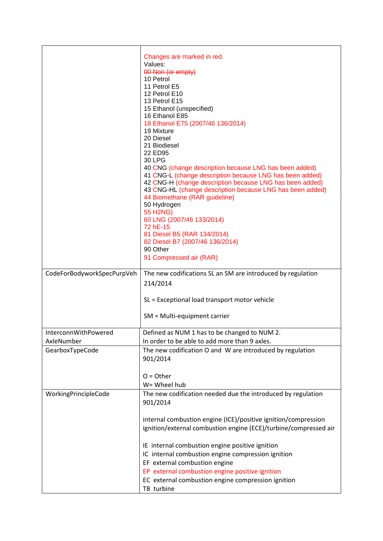|                            | Changes are marked in red.<br>Values:<br>00 Non (or empty)<br>10 Petrol<br>11 Petrol E5<br>12 Petrol E10<br>13 Petrol E15<br>15 Ethanol (unspecified)<br>16 Ethanol E85<br>18 Ethanol E75 (2007/46 136/2014)<br>19 Mixture<br>20 Diesel<br>21 Biodiesel<br>22 ED95<br>30 LPG<br>40 CNG (change description because LNG has been added)<br>41 CNG-L (change description because LNG has been added)<br>42 CNG-H (change description because LNG has been added)<br>43 CNG-HL (change description because LNG has been added)<br>44 Biomethane (RAR guideline)<br>50 Hydrogen<br><b>55 H2NG)</b><br>60 LNG (2007/46 133/2014)<br>72 hE-15<br>81 Diesel B5 (RAR 134/2014)<br>82 Diesel B7 (2007/46 136/2014)<br>90 Other<br>91 Compressed air (RAR) |
|----------------------------|--------------------------------------------------------------------------------------------------------------------------------------------------------------------------------------------------------------------------------------------------------------------------------------------------------------------------------------------------------------------------------------------------------------------------------------------------------------------------------------------------------------------------------------------------------------------------------------------------------------------------------------------------------------------------------------------------------------------------------------------------|
| CodeForBodyworkSpecPurpVeh | The new codifications SL an SM are introduced by regulation                                                                                                                                                                                                                                                                                                                                                                                                                                                                                                                                                                                                                                                                                      |
|                            | 214/2014                                                                                                                                                                                                                                                                                                                                                                                                                                                                                                                                                                                                                                                                                                                                         |
|                            | SL = Exceptional load transport motor vehicle                                                                                                                                                                                                                                                                                                                                                                                                                                                                                                                                                                                                                                                                                                    |
|                            | $SM = Multi-equipment carrier$                                                                                                                                                                                                                                                                                                                                                                                                                                                                                                                                                                                                                                                                                                                   |
| InterconnWithPowered       | Defined as NUM 1 has to be changed to NUM 2                                                                                                                                                                                                                                                                                                                                                                                                                                                                                                                                                                                                                                                                                                      |
| AxleNumber                 | In order to be able to add more than 9 axles.                                                                                                                                                                                                                                                                                                                                                                                                                                                                                                                                                                                                                                                                                                    |
| GearboxTypeCode            | The new codification O and W are introduced by regulation<br>901/2014                                                                                                                                                                                                                                                                                                                                                                                                                                                                                                                                                                                                                                                                            |
|                            | $O = Other$                                                                                                                                                                                                                                                                                                                                                                                                                                                                                                                                                                                                                                                                                                                                      |
|                            | W= Wheel hub                                                                                                                                                                                                                                                                                                                                                                                                                                                                                                                                                                                                                                                                                                                                     |
| WorkingPrincipleCode       | The new codification needed due the introduced by regulation<br>901/2014                                                                                                                                                                                                                                                                                                                                                                                                                                                                                                                                                                                                                                                                         |
|                            | internal combustion engine (ICE)/positive ignition/compression<br>ignition/external combustion engine (ECE)/turbine/compressed air                                                                                                                                                                                                                                                                                                                                                                                                                                                                                                                                                                                                               |
|                            | IE internal combustion engine positive ignition                                                                                                                                                                                                                                                                                                                                                                                                                                                                                                                                                                                                                                                                                                  |
|                            | IC internal combustion engine compression ignition                                                                                                                                                                                                                                                                                                                                                                                                                                                                                                                                                                                                                                                                                               |
|                            | EF external combustion engine                                                                                                                                                                                                                                                                                                                                                                                                                                                                                                                                                                                                                                                                                                                    |
|                            | EP external combustion engine positive ignition<br>EC external combustion engine compression ignition                                                                                                                                                                                                                                                                                                                                                                                                                                                                                                                                                                                                                                            |
|                            | TB turbine                                                                                                                                                                                                                                                                                                                                                                                                                                                                                                                                                                                                                                                                                                                                       |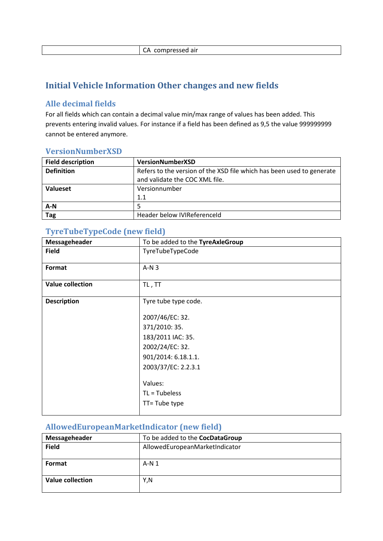|  | CA compressed air |  |
|--|-------------------|--|
|--|-------------------|--|

### <span id="page-5-0"></span>**Initial Vehicle Information Other changes and new fields**

#### <span id="page-5-1"></span>**Alle decimal fields**

For all fields which can contain a decimal value min/max range of values has been added. This prevents entering invalid values. For instance if a field has been defined as 9,5 the value 999999999 cannot be entered anymore.

#### <span id="page-5-2"></span>**VersionNumberXSD**

| <b>Field description</b> | VersionNumberXSD                                                                                        |
|--------------------------|---------------------------------------------------------------------------------------------------------|
| <b>Definition</b>        | Refers to the version of the XSD file which has been used to generate<br>and validate the COC XML file. |
| <b>Valueset</b>          | Versionnumber                                                                                           |
|                          | 1.1                                                                                                     |
| $A-N$                    |                                                                                                         |
| <b>Tag</b>               | Header below IVIReferenceld                                                                             |

### <span id="page-5-3"></span>**TyreTubeTypeCode (new field)**

| Messageheader           | To be added to the TyreAxleGroup |
|-------------------------|----------------------------------|
| <b>Field</b>            | TyreTubeTypeCode                 |
| Format                  | $A-N3$                           |
| <b>Value collection</b> | TL, TT                           |
| <b>Description</b>      | Tyre tube type code.             |
|                         |                                  |
|                         | 2007/46/EC: 32.                  |
|                         | 371/2010: 35.                    |
|                         | 183/2011 IAC: 35.                |
|                         | 2002/24/EC: 32.                  |
|                         | 901/2014: 6.18.1.1.              |
|                         | 2003/37/EC: 2.2.3.1              |
|                         |                                  |
|                         | Values:                          |
|                         | $TL = Tubeless$                  |
|                         | TT= Tube type                    |
|                         |                                  |

### <span id="page-5-4"></span>**AllowedEuropeanMarketIndicator (new field)**

| Messageheader    | To be added to the CocDataGroup |
|------------------|---------------------------------|
| <b>Field</b>     | AllowedEuropeanMarketIndicator  |
|                  |                                 |
| <b>Format</b>    | $A-N1$                          |
|                  |                                 |
| Value collection | Y,N                             |
|                  |                                 |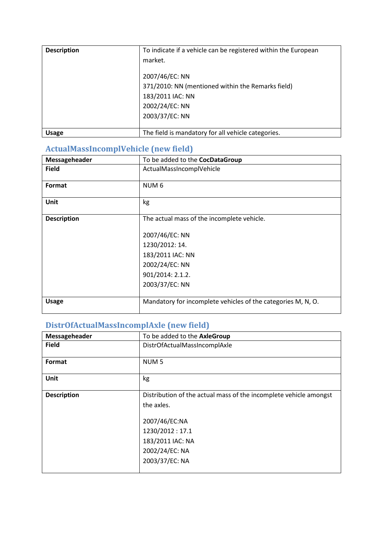| <b>Description</b> | To indicate if a vehicle can be registered within the European |
|--------------------|----------------------------------------------------------------|
|                    | market.                                                        |
|                    |                                                                |
|                    | 2007/46/EC: NN                                                 |
|                    | 371/2010: NN (mentioned within the Remarks field)              |
|                    | 183/2011 IAC: NN                                               |
|                    | 2002/24/EC: NN                                                 |
|                    | 2003/37/EC: NN                                                 |
|                    |                                                                |
| <b>Usage</b>       | The field is mandatory for all vehicle categories.             |

## <span id="page-6-0"></span>**ActualMassIncomplVehicle (new field)**

| Messageheader      | To be added to the CocDataGroup                                                                                                                            |
|--------------------|------------------------------------------------------------------------------------------------------------------------------------------------------------|
| <b>Field</b>       | ActualMassIncomplVehicle                                                                                                                                   |
| Format             | NUM <sub>6</sub>                                                                                                                                           |
| Unit               | kg                                                                                                                                                         |
| <b>Description</b> | The actual mass of the incomplete vehicle.<br>2007/46/EC: NN<br>1230/2012: 14.<br>183/2011 IAC: NN<br>2002/24/EC: NN<br>901/2014: 2.1.2.<br>2003/37/EC: NN |
| <b>Usage</b>       | Mandatory for incomplete vehicles of the categories M, N, O.                                                                                               |

## <span id="page-6-1"></span>**DistrOfActualMassIncomplAxle (new field)**

| Messageheader      | To be added to the AxleGroup                                                                                                                                               |
|--------------------|----------------------------------------------------------------------------------------------------------------------------------------------------------------------------|
| <b>Field</b>       | DistrOfActualMassIncomplAxle                                                                                                                                               |
| Format             | NUM <sub>5</sub>                                                                                                                                                           |
| Unit               | kg                                                                                                                                                                         |
| <b>Description</b> | Distribution of the actual mass of the incomplete vehicle amongst<br>the axles.<br>2007/46/EC:NA<br>1230/2012:17.1<br>183/2011 IAC: NA<br>2002/24/EC: NA<br>2003/37/EC: NA |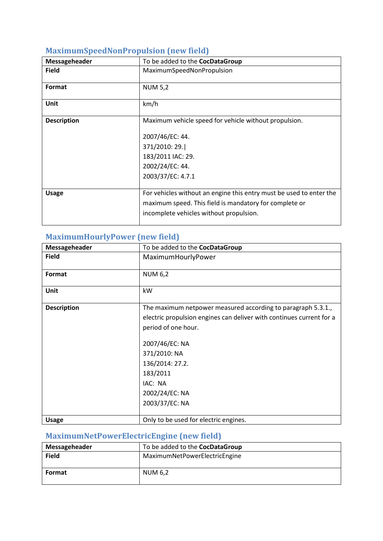<span id="page-7-0"></span>

| Messageheader      | To be added to the CocDataGroup                                                                                                                                          |
|--------------------|--------------------------------------------------------------------------------------------------------------------------------------------------------------------------|
| <b>Field</b>       | MaximumSpeedNonPropulsion                                                                                                                                                |
| Format             | <b>NUM 5,2</b>                                                                                                                                                           |
| Unit               | km/h                                                                                                                                                                     |
| <b>Description</b> | Maximum vehicle speed for vehicle without propulsion.<br>2007/46/EC: 44.<br>371/2010: 29.<br>183/2011 IAC: 29.<br>2002/24/EC: 44.<br>2003/37/EC: 4.7.1                   |
| <b>Usage</b>       | For vehicles without an engine this entry must be used to enter the<br>maximum speed. This field is mandatory for complete or<br>incomplete vehicles without propulsion. |

### <span id="page-7-1"></span>**MaximumHourlyPower (new field)**

| Messageheader      | To be added to the CocDataGroup                                                                                                                                                                                                                                             |
|--------------------|-----------------------------------------------------------------------------------------------------------------------------------------------------------------------------------------------------------------------------------------------------------------------------|
| <b>Field</b>       | MaximumHourlyPower                                                                                                                                                                                                                                                          |
| Format             | <b>NUM 6,2</b>                                                                                                                                                                                                                                                              |
| Unit               | kW                                                                                                                                                                                                                                                                          |
| <b>Description</b> | The maximum netpower measured according to paragraph 5.3.1.,<br>electric propulsion engines can deliver with continues current for a<br>period of one hour.<br>2007/46/EC: NA<br>371/2010: NA<br>136/2014: 27.2.<br>183/2011<br>IAC: NA<br>2002/24/EC: NA<br>2003/37/EC: NA |
| <b>Usage</b>       | Only to be used for electric engines.                                                                                                                                                                                                                                       |

## <span id="page-7-2"></span>**MaximumNetPowerElectricEngine (new field)**

| Messageheader | To be added to the CocDataGroup |
|---------------|---------------------------------|
| <b>Field</b>  | MaximumNetPowerElectricEngine   |
| Format        | NUM 6.2                         |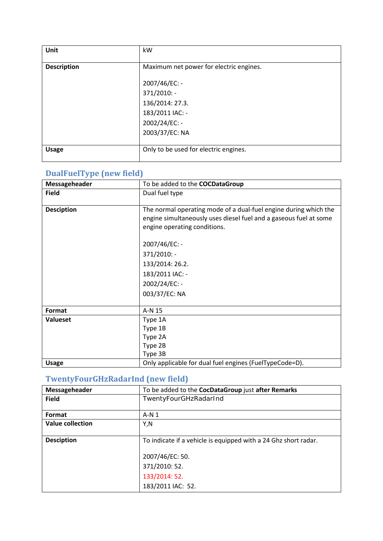| <b>Unit</b>        | kW                                      |
|--------------------|-----------------------------------------|
| <b>Description</b> | Maximum net power for electric engines. |
|                    | 2007/46/EC: -                           |
|                    | 371/2010: -                             |
|                    | 136/2014: 27.3.                         |
|                    | 183/2011 IAC: -                         |
|                    | 2002/24/EC: -                           |
|                    | 2003/37/EC: NA                          |
|                    |                                         |
| <b>Usage</b>       | Only to be used for electric engines.   |

#### <span id="page-8-0"></span>**DualFuelType (new field)**

| Messageheader     | To be added to the <b>COCDataGroup</b>                            |
|-------------------|-------------------------------------------------------------------|
| <b>Field</b>      | Dual fuel type                                                    |
|                   |                                                                   |
| <b>Desciption</b> | The normal operating mode of a dual-fuel engine during which the  |
|                   | engine simultaneously uses diesel fuel and a gaseous fuel at some |
|                   | engine operating conditions.                                      |
|                   |                                                                   |
|                   | 2007/46/EC: -                                                     |
|                   | 371/2010: -                                                       |
|                   | 133/2014: 26.2.                                                   |
|                   | 183/2011 IAC: -                                                   |
|                   | 2002/24/EC: -                                                     |
|                   | 003/37/EC: NA                                                     |
|                   |                                                                   |
| Format            | A-N 15                                                            |
| <b>Valueset</b>   | Type 1A                                                           |
|                   | Type 1B                                                           |
|                   | Type 2A                                                           |
|                   | Type 2B                                                           |
|                   | Type 3B                                                           |
| <b>Usage</b>      | Only applicable for dual fuel engines (FuelTypeCode=D).           |

## <span id="page-8-1"></span>**TwentyFourGHzRadarInd (new field)**

| Messageheader           | To be added to the CocDataGroup just after Remarks              |
|-------------------------|-----------------------------------------------------------------|
| <b>Field</b>            | TwentyFourGHzRadarInd                                           |
|                         |                                                                 |
| Format                  | $A-N1$                                                          |
| <b>Value collection</b> | Y,N                                                             |
|                         |                                                                 |
| <b>Desciption</b>       | To indicate if a vehicle is equipped with a 24 Ghz short radar. |
|                         |                                                                 |
|                         | 2007/46/EC: 50.                                                 |
|                         | 371/2010: 52.                                                   |
|                         | 133/2014: 52.                                                   |
|                         | 183/2011 IAC: 52.                                               |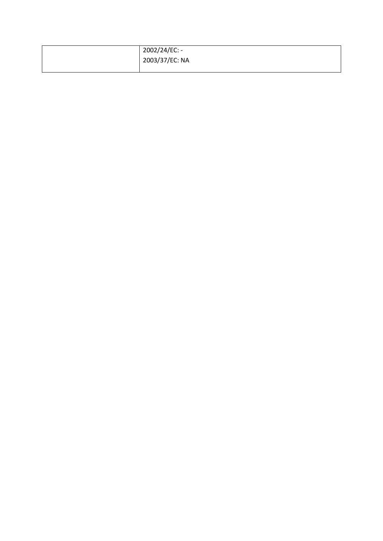| 2002/24/EC: -  |
|----------------|
| 2003/37/EC: NA |
|                |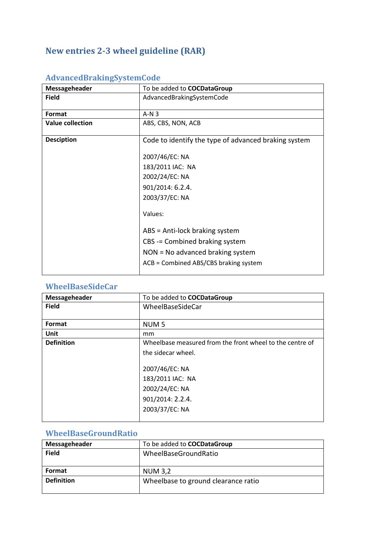## <span id="page-10-0"></span>**New entries 2-3 wheel guideline (RAR)**

| Messageheader           | To be added to <b>COCDataGroup</b>                   |
|-------------------------|------------------------------------------------------|
| <b>Field</b>            | AdvancedBrakingSystemCode                            |
| Format                  | $A-N3$                                               |
| <b>Value collection</b> | ABS, CBS, NON, ACB                                   |
| <b>Desciption</b>       | Code to identify the type of advanced braking system |
|                         | 2007/46/EC: NA                                       |
|                         | 183/2011 IAC: NA                                     |
|                         | 2002/24/EC: NA                                       |
|                         | 901/2014: 6.2.4.                                     |
|                         | 2003/37/EC: NA                                       |
|                         | Values:                                              |
|                         | $ABS = Anti-lock$ braking system                     |
|                         | CBS -= Combined braking system                       |
|                         | $NON = No$ advanced braking system                   |
|                         | ACB = Combined ABS/CBS braking system                |

### <span id="page-10-1"></span>**AdvancedBrakingSystemCode**

### <span id="page-10-2"></span>**WheelBaseSideCar**

| Messageheader     | To be added to <b>COCDataGroup</b>                       |
|-------------------|----------------------------------------------------------|
| <b>Field</b>      | WheelBaseSideCar                                         |
|                   |                                                          |
| Format            | NUM <sub>5</sub>                                         |
| Unit              | mm                                                       |
| <b>Definition</b> | Wheelbase measured from the front wheel to the centre of |
|                   | the sidecar wheel.                                       |
|                   |                                                          |
|                   | 2007/46/EC: NA                                           |
|                   | 183/2011 IAC: NA                                         |
|                   | 2002/24/EC: NA                                           |
|                   | 901/2014: 2.2.4.                                         |
|                   | 2003/37/EC: NA                                           |
|                   |                                                          |

### <span id="page-10-3"></span>**WheelBaseGroundRatio**

| Messageheader     | To be added to <b>COCDataGroup</b>  |
|-------------------|-------------------------------------|
| <b>Field</b>      | WheelBaseGroundRatio                |
|                   |                                     |
| <b>Format</b>     | <b>NUM 3,2</b>                      |
| <b>Definition</b> | Wheelbase to ground clearance ratio |
|                   |                                     |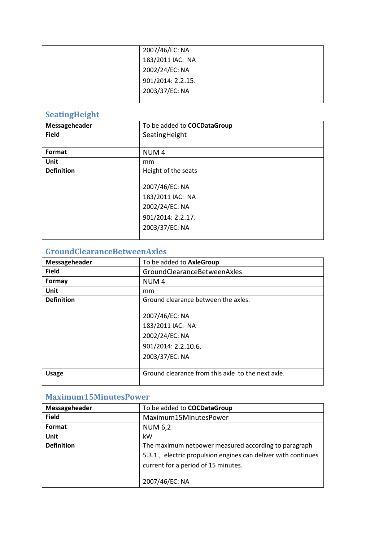| 2007/46/EC: NA    |
|-------------------|
| 183/2011 IAC: NA  |
| 2002/24/EC: NA    |
| 901/2014: 2.2.15. |
| 2003/37/EC: NA    |
|                   |

#### <span id="page-11-0"></span>**SeatingHeight**

| Messageheader     | To be added to <b>COCDataGroup</b> |
|-------------------|------------------------------------|
| <b>Field</b>      | SeatingHeight                      |
|                   |                                    |
| Format            | NUM <sub>4</sub>                   |
| Unit              | mm                                 |
| <b>Definition</b> | Height of the seats                |
|                   |                                    |
|                   | 2007/46/EC: NA                     |
|                   | 183/2011 IAC: NA                   |
|                   | 2002/24/EC: NA                     |
|                   | 901/2014: 2.2.17.                  |
|                   | 2003/37/EC: NA                     |
|                   |                                    |

### <span id="page-11-1"></span>**GroundClearanceBetweenAxles**

| Messageheader     | To be added to AxleGroup                                                                      |
|-------------------|-----------------------------------------------------------------------------------------------|
| <b>Field</b>      | <b>GroundClearanceBetweenAxles</b>                                                            |
| Formay            | NUM <sub>4</sub>                                                                              |
| <b>Unit</b>       | <sub>mm</sub>                                                                                 |
| <b>Definition</b> | Ground clearance between the axles.                                                           |
|                   | 2007/46/EC: NA<br>183/2011 IAC: NA<br>2002/24/EC: NA<br>901/2014: 2.2.10.6.<br>2003/37/EC: NA |
| <b>Usage</b>      | Ground clearance from this axle to the next axle.                                             |

### <span id="page-11-2"></span>**Maximum15MinutesPower**

| Messageheader     | To be added to <b>COCDataGroup</b>                             |
|-------------------|----------------------------------------------------------------|
| <b>Field</b>      | Maximum15MinutesPower                                          |
| Format            | <b>NUM 6,2</b>                                                 |
| <b>Unit</b>       | kW                                                             |
| <b>Definition</b> | The maximum netpower measured according to paragraph           |
|                   | 5.3.1., electric propulsion engines can deliver with continues |
|                   | current for a period of 15 minutes.                            |
|                   |                                                                |
|                   | 2007/46/EC: NA                                                 |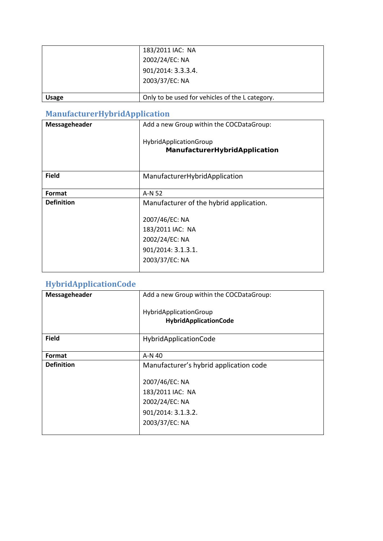|              | 183/2011 IAC: NA<br>2002/24/EC: NA<br>901/2014: 3.3.3.4.<br>2003/37/EC: NA |
|--------------|----------------------------------------------------------------------------|
| <b>Usage</b> | Only to be used for vehicles of the L category.                            |

## <span id="page-12-0"></span>**ManufacturerHybridApplication**

| Messageheader     | Add a new Group within the COCDataGroup:                                                     |
|-------------------|----------------------------------------------------------------------------------------------|
|                   | HybridApplicationGroup<br>ManufacturerHybridApplication                                      |
| <b>Field</b>      | ManufacturerHybridApplication                                                                |
| Format            | A-N 52                                                                                       |
| <b>Definition</b> | Manufacturer of the hybrid application.                                                      |
|                   | 2007/46/EC: NA<br>183/2011 IAC: NA<br>2002/24/EC: NA<br>901/2014: 3.1.3.1.<br>2003/37/EC: NA |

## <span id="page-12-1"></span>**HybridApplicationCode**

| Messageheader     | Add a new Group within the COCDataGroup:                                                     |
|-------------------|----------------------------------------------------------------------------------------------|
|                   | HybridApplicationGroup<br>HybridApplicationCode                                              |
| <b>Field</b>      | HybridApplicationCode                                                                        |
| Format            | A-N 40                                                                                       |
| <b>Definition</b> | Manufacturer's hybrid application code                                                       |
|                   | 2007/46/EC: NA<br>183/2011 IAC: NA<br>2002/24/EC: NA<br>901/2014: 3.1.3.2.<br>2003/37/EC: NA |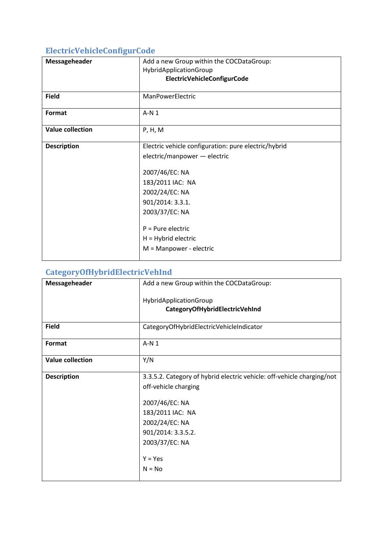## <span id="page-13-0"></span>**ElectricVehicleConfigurCode**

| Messageheader           | Add a new Group within the COCDataGroup:<br>HybridApplicationGroup<br>ElectricVehicleConfigurCode                                                                                                                                                             |
|-------------------------|---------------------------------------------------------------------------------------------------------------------------------------------------------------------------------------------------------------------------------------------------------------|
| <b>Field</b>            | ManPowerElectric                                                                                                                                                                                                                                              |
| Format                  | $A-N1$                                                                                                                                                                                                                                                        |
| <b>Value collection</b> | P, H, M                                                                                                                                                                                                                                                       |
| <b>Description</b>      | Electric vehicle configuration: pure electric/hybrid<br>electric/manpower - electric<br>2007/46/EC: NA<br>183/2011 IAC: NA<br>2002/24/EC: NA<br>901/2014: 3.3.1.<br>2003/37/EC: NA<br>$P = Pure electric$<br>$H = Hybrid electric$<br>M = Manpower - electric |

### <span id="page-13-1"></span>**CategoryOfHybridElectricVehInd**

| Messageheader           | Add a new Group within the COCDataGroup:                               |
|-------------------------|------------------------------------------------------------------------|
|                         | HybridApplicationGroup                                                 |
|                         | CategoryOfHybridElectricVehInd                                         |
| <b>Field</b>            | CategoryOfHybridElectricVehicleIndicator                               |
| Format                  | $A-N1$                                                                 |
| <b>Value collection</b> | Y/N                                                                    |
| <b>Description</b>      | 3.3.5.2. Category of hybrid electric vehicle: off-vehicle charging/not |
|                         | off-vehicle charging                                                   |
|                         | 2007/46/EC: NA                                                         |
|                         | 183/2011 IAC: NA                                                       |
|                         | 2002/24/EC: NA                                                         |
|                         | 901/2014: 3.3.5.2.                                                     |
|                         | 2003/37/EC: NA                                                         |
|                         | $Y = Yes$                                                              |
|                         |                                                                        |
|                         | $N = No$                                                               |
|                         |                                                                        |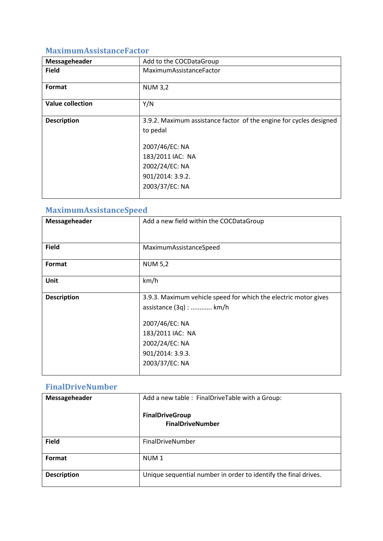### <span id="page-14-0"></span>**MaximumAssistanceFactor**

| Messageheader           | Add to the COCDataGroup                                                                                                                                                      |
|-------------------------|------------------------------------------------------------------------------------------------------------------------------------------------------------------------------|
| <b>Field</b>            | MaximumAssistanceFactor                                                                                                                                                      |
| Format                  | <b>NUM 3,2</b>                                                                                                                                                               |
| <b>Value collection</b> | Y/N                                                                                                                                                                          |
| <b>Description</b>      | 3.9.2. Maximum assistance factor of the engine for cycles designed<br>to pedal<br>2007/46/EC: NA<br>183/2011 IAC: NA<br>2002/24/EC: NA<br>901/2014: 3.9.2.<br>2003/37/EC: NA |

## <span id="page-14-1"></span>**MaximumAssistanceSpeed**

| Messageheader      | Add a new field within the COCDataGroup                                                                                                                                                  |
|--------------------|------------------------------------------------------------------------------------------------------------------------------------------------------------------------------------------|
| <b>Field</b>       | MaximumAssistanceSpeed                                                                                                                                                                   |
| Format             | <b>NUM 5,2</b>                                                                                                                                                                           |
| Unit               | km/h                                                                                                                                                                                     |
| <b>Description</b> | 3.9.3. Maximum vehicle speed for which the electric motor gives<br>assistance (3q) :  km/h<br>2007/46/EC: NA<br>183/2011 IAC: NA<br>2002/24/EC: NA<br>901/2014: 3.9.3.<br>2003/37/EC: NA |

### <span id="page-14-2"></span>**FinalDriveNumber**

| Messageheader      | Add a new table: FinalDriveTable with a Group:<br><b>FinalDriveGroup</b><br><b>FinalDriveNumber</b> |
|--------------------|-----------------------------------------------------------------------------------------------------|
| <b>Field</b>       | FinalDriveNumber                                                                                    |
| Format             | NUM <sub>1</sub>                                                                                    |
| <b>Description</b> | Unique sequential number in order to identify the final drives.                                     |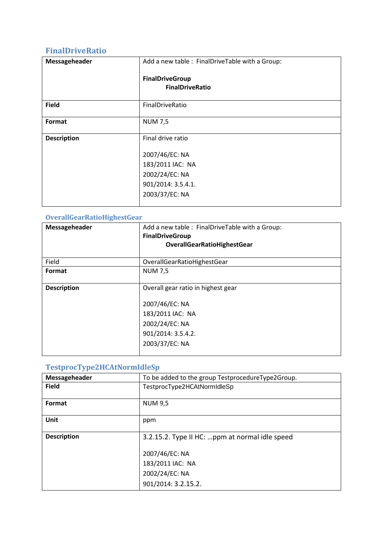### <span id="page-15-0"></span>**FinalDriveRatio**

| Messageheader      | Add a new table: FinalDriveTable with a Group:   |
|--------------------|--------------------------------------------------|
|                    | <b>FinalDriveGroup</b><br><b>FinalDriveRatio</b> |
| <b>Field</b>       | FinalDriveRatio                                  |
| Format             | <b>NUM 7,5</b>                                   |
| <b>Description</b> | Final drive ratio                                |
|                    | 2007/46/EC: NA                                   |
|                    | 183/2011 IAC: NA                                 |
|                    | 2002/24/EC: NA                                   |
|                    | 901/2014: 3.5.4.1.                               |
|                    | 2003/37/EC: NA                                   |

### <span id="page-15-1"></span>**OverallGearRatioHighestGear**

| Messageheader      | Add a new table: FinalDriveTable with a Group:<br><b>FinalDriveGroup</b><br><b>OverallGearRatioHighestGear</b>                     |
|--------------------|------------------------------------------------------------------------------------------------------------------------------------|
| Field              | OverallGearRatioHighestGear                                                                                                        |
| Format             | <b>NUM 7,5</b>                                                                                                                     |
| <b>Description</b> | Overall gear ratio in highest gear<br>2007/46/EC: NA<br>183/2011 IAC: NA<br>2002/24/EC: NA<br>901/2014: 3.5.4.2.<br>2003/37/EC: NA |

| Messageheader      | To be added to the group TestprocedureType2Group. |
|--------------------|---------------------------------------------------|
| <b>Field</b>       | TestprocType2HCAtNormIdleSp                       |
| Format             | <b>NUM 9,5</b>                                    |
| Unit               | ppm                                               |
| <b>Description</b> | 3.2.15.2. Type II HC: ppm at normal idle speed    |
|                    | 2007/46/EC: NA                                    |
|                    | 183/2011 IAC: NA                                  |
|                    | 2002/24/EC: NA                                    |
|                    | 901/2014: 3.2.15.2.                               |

#### <span id="page-15-2"></span>**TestprocType2HCAtNormIdleSp**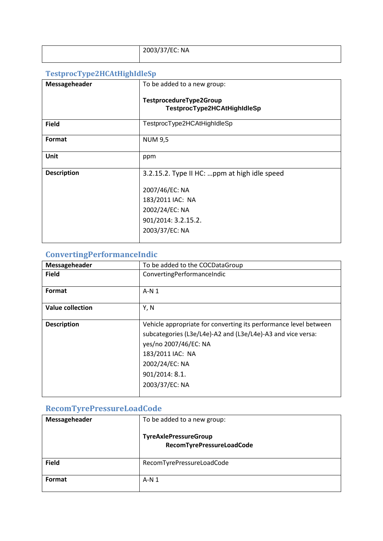| 2003/37/EC: NA |
|----------------|
|                |

### <span id="page-16-0"></span>**TestprocType2HCAtHighIdleSp**

| Messageheader      | To be added to a new group:                            |
|--------------------|--------------------------------------------------------|
|                    | TestprocedureType2Group<br>TestprocType2HCAtHighIdleSp |
| <b>Field</b>       | TestprocType2HCAtHighIdleSp                            |
| Format             | <b>NUM 9,5</b>                                         |
| Unit               | ppm                                                    |
| <b>Description</b> | 3.2.15.2. Type II HC: ppm at high idle speed           |
|                    | 2007/46/EC: NA                                         |
|                    | 183/2011 IAC: NA                                       |
|                    | 2002/24/EC: NA                                         |
|                    | 901/2014: 3.2.15.2.                                    |
|                    | 2003/37/EC: NA                                         |
|                    |                                                        |

## <span id="page-16-1"></span>**ConvertingPerformanceIndic**

| Messageheader           | To be added to the COCDataGroup                                  |
|-------------------------|------------------------------------------------------------------|
| <b>Field</b>            | ConvertingPerformanceIndic                                       |
|                         |                                                                  |
| Format                  | $A-N1$                                                           |
|                         |                                                                  |
| <b>Value collection</b> | Y, N                                                             |
|                         |                                                                  |
| <b>Description</b>      | Vehicle appropriate for converting its performance level between |
|                         | subcategories (L3e/L4e)-A2 and (L3e/L4e)-A3 and vice versa:      |
|                         | yes/no 2007/46/EC: NA                                            |
|                         | 183/2011 IAC: NA                                                 |
|                         | 2002/24/EC: NA                                                   |
|                         | 901/2014: 8.1.                                                   |
|                         | 2003/37/EC: NA                                                   |
|                         |                                                                  |

## <span id="page-16-2"></span>**RecomTyrePressureLoadCode**

| Messageheader | To be added to a new group:<br><b>TyreAxlePressureGroup</b><br>RecomTyrePressureLoadCode |
|---------------|------------------------------------------------------------------------------------------|
| <b>Field</b>  | RecomTyrePressureLoadCode                                                                |
| Format        | $A-N1$                                                                                   |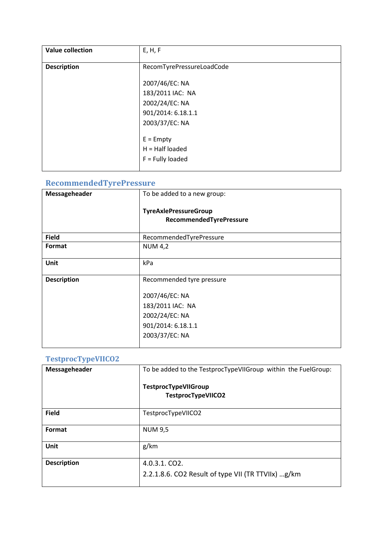| <b>Value collection</b> | E, H, F                   |
|-------------------------|---------------------------|
| <b>Description</b>      | RecomTyrePressureLoadCode |
|                         | 2007/46/EC: NA            |
|                         | 183/2011 IAC: NA          |
|                         | 2002/24/EC: NA            |
|                         | 901/2014: 6.18.1.1        |
|                         | 2003/37/EC: NA            |
|                         | $E =$ Empty               |
|                         |                           |
|                         | $H = Half loaded$         |
|                         | $F =$ Fully loaded        |
|                         |                           |

## <span id="page-17-0"></span>**RecommendedTyrePressure**

| Messageheader      | To be added to a new group:                             |
|--------------------|---------------------------------------------------------|
|                    | <b>TyreAxlePressureGroup</b><br>RecommendedTyrePressure |
| <b>Field</b>       | RecommendedTyrePressure                                 |
| Format             | <b>NUM 4,2</b>                                          |
| <b>Unit</b>        | kPa                                                     |
| <b>Description</b> | Recommended tyre pressure                               |
|                    | 2007/46/EC: NA                                          |
|                    | 183/2011 IAC: NA                                        |
|                    | 2002/24/EC: NA                                          |
|                    | 901/2014: 6.18.1.1                                      |
|                    | 2003/37/EC: NA                                          |

### <span id="page-17-1"></span>**TestprocTypeVIICO2**

| Messageheader      | To be added to the TestprocTypeVIIGroup within the FuelGroup:                       |
|--------------------|-------------------------------------------------------------------------------------|
|                    | <b>TestprocTypeVIIGroup</b><br>TestprocTypeVIICO2                                   |
| <b>Field</b>       | TestprocTypeVIICO2                                                                  |
| Format             | <b>NUM 9,5</b>                                                                      |
| Unit               | g/km                                                                                |
| <b>Description</b> | $4.0.3.1$ . CO <sub>2</sub> .<br>2.2.1.8.6. CO2 Result of type VII (TR TTVIIx) g/km |
|                    |                                                                                     |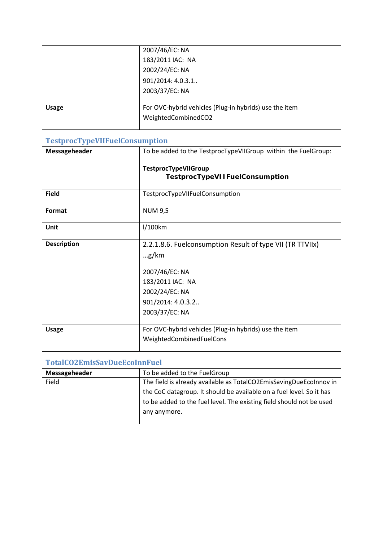|              | 2007/46/EC: NA                                         |
|--------------|--------------------------------------------------------|
|              | 183/2011 IAC: NA                                       |
|              | 2002/24/EC: NA                                         |
|              | 901/2014: 4.0.3.1                                      |
|              | 2003/37/EC: NA                                         |
|              |                                                        |
| <b>Usage</b> | For OVC-hybrid vehicles (Plug-in hybrids) use the item |
|              | WeightedCombinedCO2                                    |
|              |                                                        |

### <span id="page-18-0"></span>**TestprocTypeVIIFuelConsumption**

| Messageheader      | To be added to the TestprocTypeVIIGroup within the FuelGroup:                                                                                                             |
|--------------------|---------------------------------------------------------------------------------------------------------------------------------------------------------------------------|
|                    | <b>TestprocTypeVIIGroup</b>                                                                                                                                               |
|                    | <b>TestprocTypeVIIFuelConsumption</b>                                                                                                                                     |
| <b>Field</b>       | TestprocTypeVIIFuelConsumption                                                                                                                                            |
| Format             | <b>NUM 9,5</b>                                                                                                                                                            |
| Unit               | l/100km                                                                                                                                                                   |
| <b>Description</b> | 2.2.1.8.6. Fuelconsumption Result of type VII (TR TTVIIx)<br>$\ldots$ g/km<br>2007/46/EC: NA<br>183/2011 IAC: NA<br>2002/24/EC: NA<br>901/2014: 4.0.3.2<br>2003/37/EC: NA |
| <b>Usage</b>       | For OVC-hybrid vehicles (Plug-in hybrids) use the item<br>WeightedCombinedFuelCons                                                                                        |

#### <span id="page-18-1"></span>**TotalCO2EmisSavDueEcoInnFuel**

| Messageheader | To be added to the FuelGroup                                         |
|---------------|----------------------------------------------------------------------|
| Field         | The field is already available as TotalCO2EmisSavingDueEcoInnov in   |
|               | the CoC datagroup. It should be available on a fuel level. So it has |
|               | to be added to the fuel level. The existing field should not be used |
|               | any anymore.                                                         |
|               |                                                                      |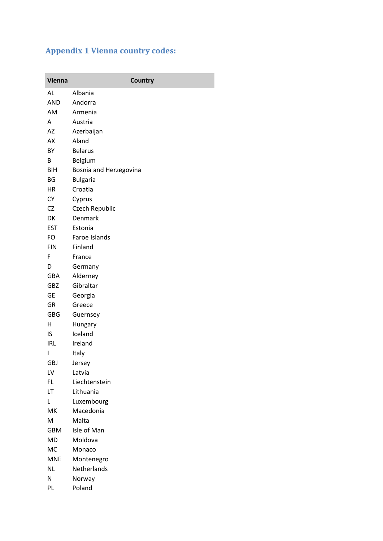## <span id="page-19-0"></span>**Appendix 1 Vienna country codes:**

| <b>Vienna</b>          | <b>Country</b>            |
|------------------------|---------------------------|
| AL                     | Albania                   |
| <b>AND</b>             | Andorra                   |
| AM                     | Armenia                   |
| A                      | Austria                   |
| AZ                     | Azerbaijan                |
| AX                     | Aland                     |
| BY                     | <b>Belarus</b>            |
| В                      | Belgium                   |
| <b>BIH</b>             | Bosnia and Herzegovina    |
| BG                     | <b>Bulgaria</b>           |
| HR                     | Croatia                   |
| <b>CY</b>              | Cyprus                    |
| CZ                     | Czech Republic            |
| DK                     | Denmark                   |
| <b>EST</b>             | Estonia                   |
| FO                     | Faroe Islands             |
| <b>FIN</b>             | Finland                   |
| F                      | France                    |
| D                      | Germany                   |
| GBA                    | Alderney                  |
| GBZ                    | Gibraltar                 |
| <b>GE</b>              | Georgia                   |
| GR                     | Greece                    |
| <b>GBG</b>             | Guernsey                  |
| н                      | Hungary                   |
| IS                     | Iceland                   |
| <b>IRL</b>             | Ireland                   |
| I                      | Italy                     |
| <b>GBJ</b>             | Jersey                    |
| LV                     | Latvia                    |
| FL                     | Liechtenstein             |
| LT                     | Lithuania                 |
| L                      | Luxembourg                |
| MK                     | Macedonia                 |
| M                      | Malta                     |
| <b>GBM</b>             | Isle of Man               |
| <b>MD</b><br><b>MC</b> | Moldova<br>Monaco         |
| <b>MNE</b>             |                           |
| <b>NL</b>              | Montenegro<br>Netherlands |
| N                      | Norway                    |
| PL                     | Poland                    |
|                        |                           |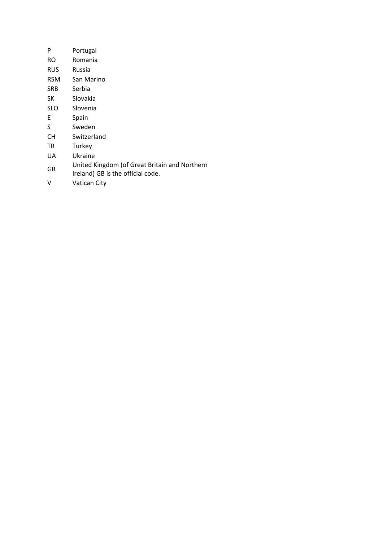| P          | Portugal                                                                           |
|------------|------------------------------------------------------------------------------------|
| RO.        | Romania                                                                            |
| <b>RUS</b> | Russia                                                                             |
| RSM        | San Marino                                                                         |
| SRB        | Serbia                                                                             |
| SК         | Slovakia                                                                           |
| <b>SLO</b> | Slovenia                                                                           |
| E          | Spain                                                                              |
| S          | Sweden                                                                             |
| CН         | Switzerland                                                                        |
| TR         | Turkey                                                                             |
| UA         | Ukraine                                                                            |
| GB         | United Kingdom (of Great Britain and Northern<br>Ireland) GB is the official code. |
| V          | Vatican City                                                                       |